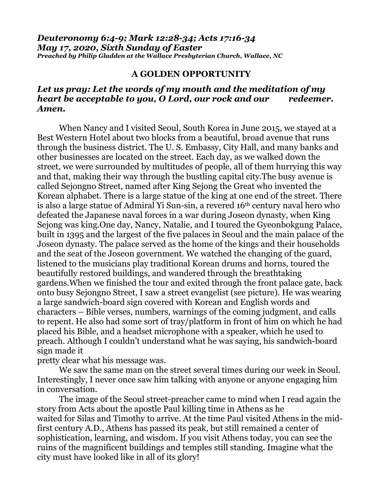*Deuteronomy 6:4-9; Mark 12:28-34; Acts 17:16-34 May 17, 2020, Sixth Sunday of Easter Preached by Philip Gladden at the Wallace Presbyterian Church, Wallace, NC*

## **A GOLDEN OPPORTUNITY**

## *Let us pray: Let the words of my mouth and the meditation of my heart be acceptable to you, O Lord, our rock and our redeemer. Amen.*

When Nancy and I visited Seoul, South Korea in June 2015, we stayed at a Best Western Hotel about two blocks from a beautiful, broad avenue that runs through the business district. The U. S. Embassy, City Hall, and many banks and other businesses are located on the street. Each day, as we walked down the street, we were surrounded by multitudes of people, all of them hurrying this way and that, making their way through the bustling capital city.The busy avenue is called Sejongno Street, named after King Sejong the Great who invented the Korean alphabet. There is a large statue of the king at one end of the street. There is also a large statue of Admiral Yi Sun-sin, a revered 16th century naval hero who defeated the Japanese naval forces in a war during Joseon dynasty, when King Sejong was king.One day, Nancy, Natalie, and I toured the Gyeonbokgung Palace, built in 1395 and the largest of the five palaces in Seoul and the main palace of the Joseon dynasty. The palace served as the home of the kings and their households and the seat of the Joseon government. We watched the changing of the guard, listened to the musicians play traditional Korean drums and horns, toured the beautifully restored buildings, and wandered through the breathtaking gardens.When we finished the tour and exited through the front palace gate, back onto busy Sejongno Street, I saw a street evangelist (see picture). He was wearing a large sandwich-board sign covered with Korean and English words and characters – Bible verses, numbers, warnings of the coming judgment, and calls to repent. He also had some sort of tray/platform in front of him on which he had placed his Bible, and a headset microphone with a speaker, which he used to preach. Although I couldn't understand what he was saying, his sandwich-board sign made it

pretty clear what his message was.

We saw the same man on the street several times during our week in Seoul. Interestingly, I never once saw him talking with anyone or anyone engaging him in conversation.

The image of the Seoul street-preacher came to mind when I read again the story from Acts about the apostle Paul killing time in Athens as he waited for Silas and Timothy to arrive. At the time Paul visited Athens in the midfirst century A.D., Athens has passed its peak, but still remained a center of sophistication, learning, and wisdom. If you visit Athens today, you can see the ruins of the magnificent buildings and temples still standing. Imagine what the city must have looked like in all of its glory!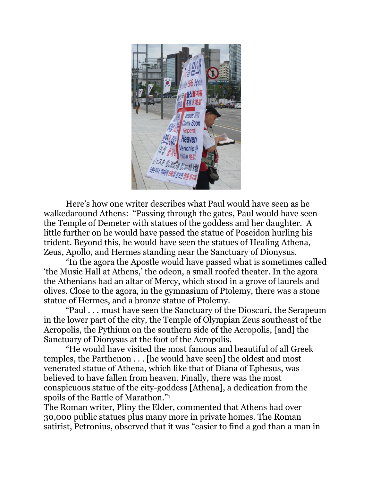

Here's how one writer describes what Paul would have seen as he walkedaround Athens: "Passing through the gates, Paul would have seen the Temple of Demeter with statues of the goddess and her daughter. A little further on he would have passed the statue of Poseidon hurling his trident. Beyond this, he would have seen the statues of Healing Athena, Zeus, Apollo, and Hermes standing near the Sanctuary of Dionysus.

"In the agora the Apostle would have passed what is sometimes called 'the Music Hall at Athens,' the odeon, a small roofed theater. In the agora the Athenians had an altar of Mercy, which stood in a grove of laurels and olives. Close to the agora, in the gymnasium of Ptolemy, there was a stone statue of Hermes, and a bronze statue of Ptolemy.

"Paul . . . must have seen the Sanctuary of the Dioscuri, the Serapeum in the lower part of the city, the Temple of Olympian Zeus southeast of the Acropolis, the Pythium on the southern side of the Acropolis, [and] the Sanctuary of Dionysus at the foot of the Acropolis.

"He would have visited the most famous and beautiful of all Greek temples, the Parthenon . . . [he would have seen] the oldest and most venerated statue of Athena, which like that of Diana of Ephesus, was believed to have fallen from heaven. Finally, there was the most conspicuous statue of the city-goddess [Athena], a dedication from the spoils of the Battle of Marathon."<sup>1</sup>

The Roman writer, Pliny the Elder, commented that Athens had over 30,000 public statues plus many more in private homes. The Roman satirist, Petronius, observed that it was "easier to find a god than a man in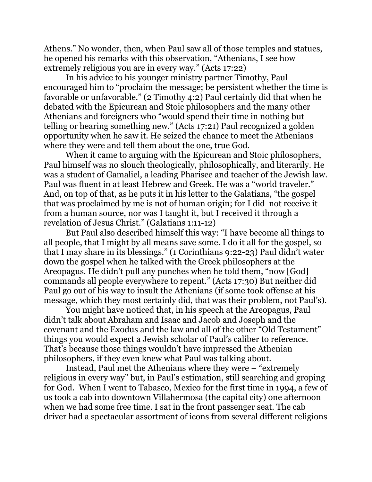Athens." No wonder, then, when Paul saw all of those temples and statues, he opened his remarks with this observation, "Athenians, I see how extremely religious you are in every way." (Acts 17:22)

In his advice to his younger ministry partner Timothy, Paul encouraged him to "proclaim the message; be persistent whether the time is favorable or unfavorable." (2 Timothy 4:2) Paul certainly did that when he debated with the Epicurean and Stoic philosophers and the many other Athenians and foreigners who "would spend their time in nothing but telling or hearing something new." (Acts 17:21) Paul recognized a golden opportunity when he saw it. He seized the chance to meet the Athenians where they were and tell them about the one, true God.

When it came to arguing with the Epicurean and Stoic philosophers, Paul himself was no slouch theologically, philosophically, and literarily. He was a student of Gamaliel, a leading Pharisee and teacher of the Jewish law. Paul was fluent in at least Hebrew and Greek. He was a "world traveler." And, on top of that, as he puts it in his letter to the Galatians, "the gospel that was proclaimed by me is not of human origin; for I did not receive it from a human source, nor was I taught it, but I received it through a revelation of Jesus Christ." (Galatians 1:11-12)

But Paul also described himself this way: "I have become all things to all people, that I might by all means save some. I do it all for the gospel, so that I may share in its blessings." (1 Corinthians 9:22-23) Paul didn't water down the gospel when he talked with the Greek philosophers at the Areopagus. He didn't pull any punches when he told them, "now [God] commands all people everywhere to repent." (Acts 17:30) But neither did Paul go out of his way to insult the Athenians (if some took offense at his message, which they most certainly did, that was their problem, not Paul's).

You might have noticed that, in his speech at the Areopagus, Paul didn't talk about Abraham and Isaac and Jacob and Joseph and the covenant and the Exodus and the law and all of the other "Old Testament" things you would expect a Jewish scholar of Paul's caliber to reference. That's because those things wouldn't have impressed the Athenian philosophers, if they even knew what Paul was talking about.

Instead, Paul met the Athenians where they were – "extremely religious in every way" but, in Paul's estimation, still searching and groping for God. When I went to Tabasco, Mexico for the first time in 1994, a few of us took a cab into downtown Villahermosa (the capital city) one afternoon when we had some free time. I sat in the front passenger seat. The cab driver had a spectacular assortment of icons from several different religions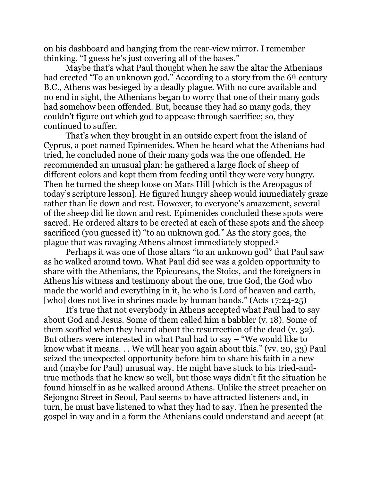on his dashboard and hanging from the rear-view mirror. I remember thinking, "I guess he's just covering all of the bases."

Maybe that's what Paul thought when he saw the altar the Athenians had erected "To an unknown god." According to a story from the 6<sup>th</sup> century B.C., Athens was besieged by a deadly plague. With no cure available and no end in sight, the Athenians began to worry that one of their many gods had somehow been offended. But, because they had so many gods, they couldn't figure out which god to appease through sacrifice; so, they continued to suffer.

That's when they brought in an outside expert from the island of Cyprus, a poet named Epimenides. When he heard what the Athenians had tried, he concluded none of their many gods was the one offended. He recommended an unusual plan: he gathered a large flock of sheep of different colors and kept them from feeding until they were very hungry. Then he turned the sheep loose on Mars Hill [which is the Areopagus of today's scripture lesson]. He figured hungry sheep would immediately graze rather than lie down and rest. However, to everyone's amazement, several of the sheep did lie down and rest. Epimenides concluded these spots were sacred. He ordered altars to be erected at each of these spots and the sheep sacrificed (you guessed it) "to an unknown god." As the story goes, the plague that was ravaging Athens almost immediately stopped.<sup>2</sup>

Perhaps it was one of those altars "to an unknown god" that Paul saw as he walked around town. What Paul did see was a golden opportunity to share with the Athenians, the Epicureans, the Stoics, and the foreigners in Athens his witness and testimony about the one, true God, the God who made the world and everything in it, he who is Lord of heaven and earth, [who] does not live in shrines made by human hands." (Acts 17:24-25)

It's true that not everybody in Athens accepted what Paul had to say about God and Jesus. Some of them called him a babbler (v. 18). Some of them scoffed when they heard about the resurrection of the dead (v. 32). But others were interested in what Paul had to say – "We would like to know what it means. . . We will hear you again about this." (vv. 20, 33) Paul seized the unexpected opportunity before him to share his faith in a new and (maybe for Paul) unusual way. He might have stuck to his tried-andtrue methods that he knew so well, but those ways didn't fit the situation he found himself in as he walked around Athens. Unlike the street preacher on Sejongno Street in Seoul, Paul seems to have attracted listeners and, in turn, he must have listened to what they had to say. Then he presented the gospel in way and in a form the Athenians could understand and accept (at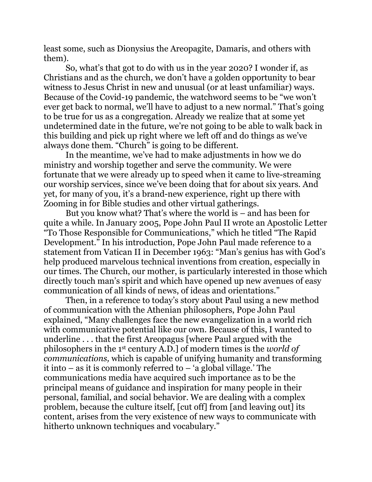least some, such as Dionysius the Areopagite, Damaris, and others with them).

So, what's that got to do with us in the year 2020? I wonder if, as Christians and as the church, we don't have a golden opportunity to bear witness to Jesus Christ in new and unusual (or at least unfamiliar) ways. Because of the Covid-19 pandemic, the watchword seems to be "we won't ever get back to normal, we'll have to adjust to a new normal." That's going to be true for us as a congregation. Already we realize that at some yet undetermined date in the future, we're not going to be able to walk back in this building and pick up right where we left off and do things as we've always done them. "Church" is going to be different.

In the meantime, we've had to make adjustments in how we do ministry and worship together and serve the community. We were fortunate that we were already up to speed when it came to live-streaming our worship services, since we've been doing that for about six years. And yet, for many of you, it's a brand-new experience, right up there with Zooming in for Bible studies and other virtual gatherings.

But you know what? That's where the world is – and has been for quite a while. In January 2005, Pope John Paul II wrote an Apostolic Letter "To Those Responsible for Communications," which he titled "The Rapid Development." In his introduction, Pope John Paul made reference to a statement from Vatican II in December 1963: "Man's genius has with God's help produced marvelous technical inventions from creation, especially in our times. The Church, our mother, is particularly interested in those which directly touch man's spirit and which have opened up new avenues of easy communication of all kinds of news, of ideas and orientations."

Then, in a reference to today's story about Paul using a new method of communication with the Athenian philosophers, Pope John Paul explained, "Many challenges face the new evangelization in a world rich with communicative potential like our own. Because of this, I wanted to underline . . . that the first Areopagus [where Paul argued with the philosophers in the 1 st century A.D.] of modern times is the *world of communications,* which is capable of unifying humanity and transforming it into – as it is commonly referred to – 'a global village.' The communications media have acquired such importance as to be the principal means of guidance and inspiration for many people in their personal, familial, and social behavior. We are dealing with a complex problem, because the culture itself, [cut off] from [and leaving out] its content, arises from the very existence of new ways to communicate with hitherto unknown techniques and vocabulary."